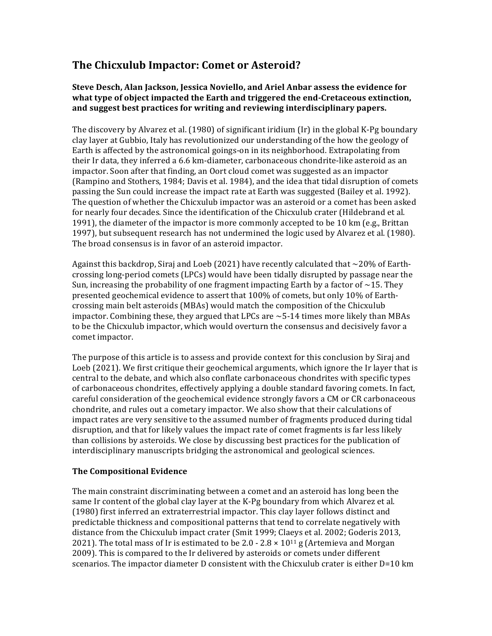# **The Chicxulub Impactor: Comet or Asteroid?**

### **Steve Desch, Alan Jackson, Jessica Noviello, and Ariel Anbar assess the evidence for what type of object impacted the Earth and triggered the end-Cretaceous extinction, and suggest best practices for writing and reviewing interdisciplinary papers.**

The discovery by Alvarez et al. (1980) of significant iridium (Ir) in the global K-Pg boundary clay layer at Gubbio, Italy has revolutionized our understanding of the how the geology of Earth is affected by the astronomical goings-on in its neighborhood. Extrapolating from their Ir data, they inferred a 6.6 km-diameter, carbonaceous chondrite-like asteroid as an impactor. Soon after that finding, an Oort cloud comet was suggested as an impactor (Rampino and Stothers, 1984; Davis et al. 1984), and the idea that tidal disruption of comets passing the Sun could increase the impact rate at Earth was suggested (Bailey et al. 1992). The question of whether the Chicxulub impactor was an asteroid or a comet has been asked for nearly four decades. Since the identification of the Chicxulub crater (Hildebrand et al. 1991), the diameter of the impactor is more commonly accepted to be 10 km (e.g., Brittan 1997), but subsequent research has not undermined the logic used by Alvarez et al. (1980). The broad consensus is in favor of an asteroid impactor.

Against this backdrop, Siraj and Loeb (2021) have recently calculated that  $\sim$  20% of Earthcrossing long-period comets (LPCs) would have been tidally disrupted by passage near the Sun, increasing the probability of one fragment impacting Earth by a factor of  $\sim$ 15. They presented geochemical evidence to assert that 100% of comets, but only 10% of Earthcrossing main belt asteroids (MBAs) would match the composition of the Chicxulub impactor. Combining these, they argued that LPCs are  $\sim$  5-14 times more likely than MBAs to be the Chicxulub impactor, which would overturn the consensus and decisively favor a comet impactor.

The purpose of this article is to assess and provide context for this conclusion by Siraj and Loeb (2021). We first critique their geochemical arguments, which ignore the Ir layer that is central to the debate, and which also conflate carbonaceous chondrites with specific types of carbonaceous chondrites, effectively applying a double standard favoring comets. In fact, careful consideration of the geochemical evidence strongly favors a CM or CR carbonaceous chondrite, and rules out a cometary impactor. We also show that their calculations of impact rates are very sensitive to the assumed number of fragments produced during tidal disruption, and that for likely values the impact rate of comet fragments is far less likely than collisions by asteroids. We close by discussing best practices for the publication of interdisciplinary manuscripts bridging the astronomical and geological sciences.

## **The Compositional Evidence**

The main constraint discriminating between a comet and an asteroid has long been the same Ir content of the global clay layer at the K-Pg boundary from which Alvarez et al. (1980) first inferred an extraterrestrial impactor. This clay layer follows distinct and predictable thickness and compositional patterns that tend to correlate negatively with distance from the Chicxulub impact crater (Smit 1999; Claeys et al. 2002; Goderis 2013, 2021). The total mass of Ir is estimated to be 2.0 - 2.8  $\times$  10<sup>11</sup> g (Artemieva and Morgan 2009). This is compared to the Ir delivered by asteroids or comets under different scenarios. The impactor diameter D consistent with the Chicxulub crater is either D=10 km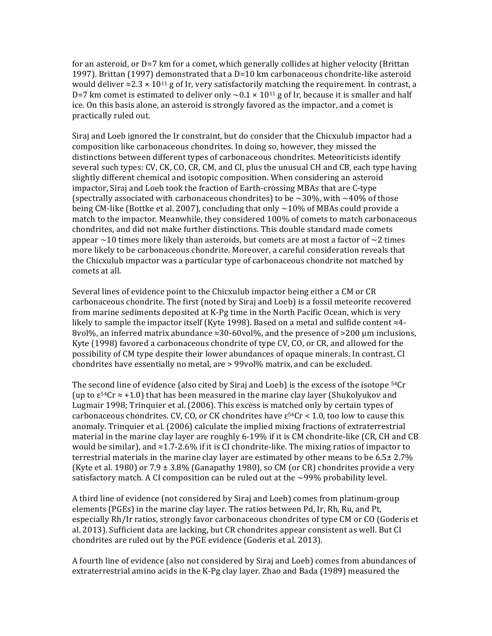for an asteroid, or D=7 km for a comet, which generally collides at higher velocity (Brittan 1997). Brittan (1997) demonstrated that a D=10 km carbonaceous chondrite-like asteroid would deliver  $\approx$ 2.3  $\times$  10<sup>11</sup> g of Ir, very satisfactorily matching the requirement. In contrast, a D=7 km comet is estimated to deliver only  $\sim$  0.1  $\times$  10<sup>11</sup> g of Ir, because it is smaller and half ice. On this basis alone, an asteroid is strongly favored as the impactor, and a comet is practically ruled out.

Siraj and Loeb ignored the Ir constraint, but do consider that the Chicxulub impactor had a composition like carbonaceous chondrites. In doing so, however, they missed the distinctions between different types of carbonaceous chondrites. Meteoriticists identify several such types: CV, CK, CO, CR, CM, and CI, plus the unusual CH and CB, each type having slightly different chemical and isotopic composition. When considering an asteroid impactor, Siraj and Loeb took the fraction of Earth-crossing MBAs that are C-type (spectrally associated with carbonaceous chondrites) to be  $\sim$  30%, with  $\sim$  40% of those being CM-like (Bottke et al. 2007), concluding that only  $\sim$  10% of MBAs could provide a match to the impactor. Meanwhile, they considered 100% of comets to match carbonaceous chondrites, and did not make further distinctions. This double standard made comets appear  $\sim$ 10 times more likely than asteroids, but comets are at most a factor of  $\sim$ 2 times more likely to be carbonaceous chondrite. Moreover, a careful consideration reveals that the Chicxulub impactor was a particular type of carbonaceous chondrite not matched by comets at all.

Several lines of evidence point to the Chicxulub impactor being either a CM or CR carbonaceous chondrite. The first (noted by Siraj and Loeb) is a fossil meteorite recovered from marine sediments deposited at K-Pg time in the North Pacific Ocean, which is very likely to sample the impactor itself (Kyte 1998). Based on a metal and sulfide content ≈4- 8vol%, an inferred matrix abundance ≈30-60vol%, and the presence of >200 μm inclusions, Kyte (1998) favored a carbonaceous chondrite of type CV, CO, or CR, and allowed for the possibility of CM type despite their lower abundances of opaque minerals. In contrast, CI chondrites have essentially no metal, are > 99vol% matrix, and can be excluded.

The second line of evidence (also cited by Siraj and Loeb) is the excess of the isotope <sup>54</sup>Cr (up to  $\varepsilon^{54}$ Cr  $\approx$  +1.0) that has been measured in the marine clay layer (Shukolyukov and Lugmair 1998; Trinquier et al. (2006). This excess is matched only by certain types of carbonaceous chondrites. CV, CO, or CK chondrites have  $\varepsilon^{54}$ Cr < 1.0, too low to cause this anomaly. Trinquier et al. (2006) calculate the implied mixing fractions of extraterrestrial material in the marine clay layer are roughly 6-19% if it is CM chondrite-like (CR, CH and CB would be similar), and  $\approx$  1.7-2.6% if it is CI chondrite-like. The mixing ratios of impactor to terrestrial materials in the marine clay layer are estimated by other means to be 6.5± 2.7% (Kyte et al. 1980) or  $7.9 \pm 3.8\%$  (Ganapathy 1980), so CM (or CR) chondrites provide a very satisfactory match. A CI composition can be ruled out at the  $\sim$ 99% probability level.

A third line of evidence (not considered by Siraj and Loeb) comes from platinum-group elements (PGEs) in the marine clay layer. The ratios between Pd, Ir, Rh, Ru, and Pt, especially Rh/Ir ratios, strongly favor carbonaceous chondrites of type CM or CO (Goderis et al. 2013). Sufficient data are lacking, but CR chondrites appear consistent as well. But CI chondrites are ruled out by the PGE evidence (Goderis et al. 2013).

A fourth line of evidence (also not considered by Siraj and Loeb) comes from abundances of extraterrestrial amino acids in the K-Pg clay layer. Zhao and Bada (1989) measured the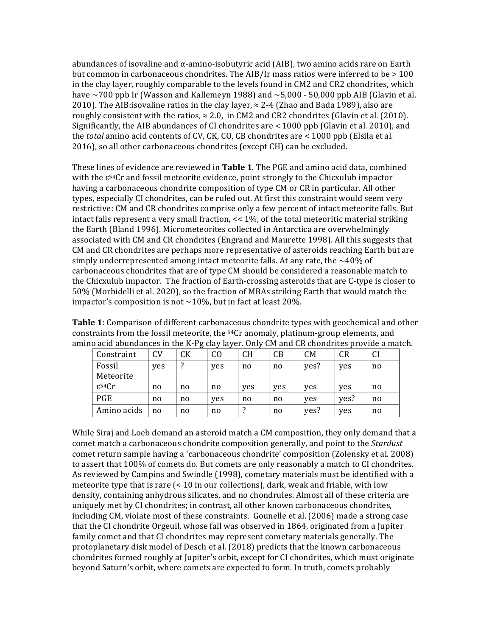abundances of isovaline and  $\alpha$ -amino-isobutyric acid (AIB), two amino acids rare on Earth but common in carbonaceous chondrites. The AIB/Ir mass ratios were inferred to be  $>100$ in the clay layer, roughly comparable to the levels found in CM2 and CR2 chondrites, which have  $\sim$ 700 ppb Ir (Wasson and Kallemeyn 1988) and  $\sim$ 5,000 - 50,000 ppb AIB (Glavin et al. 2010). The AIB: isovaline ratios in the clay layer,  $\approx$  2-4 (Zhao and Bada 1989), also are roughly consistent with the ratios,  $\approx 2.0$ , in CM2 and CR2 chondrites (Glavin et al. (2010). Significantly, the AIB abundances of CI chondrites are  $\leq$  1000 ppb (Glavin et al. 2010), and the *total* amino acid contents of CV, CK, CO, CB chondrites are < 1000 ppb (Elsila et al. 2016), so all other carbonaceous chondrites (except CH) can be excluded.

These lines of evidence are reviewed in **Table 1**. The PGE and amino acid data, combined with the  $\varepsilon^{54}$ Cr and fossil meteorite evidence, point strongly to the Chicxulub impactor having a carbonaceous chondrite composition of type CM or CR in particular. All other types, especially CI chondrites, can be ruled out. At first this constraint would seem very restrictive: CM and CR chondrites comprise only a few percent of intact meteorite falls. But intact falls represent a very small fraction, << 1%, of the total meteoritic material striking the Earth (Bland 1996). Micrometeorites collected in Antarctica are overwhelmingly associated with CM and CR chondrites (Engrand and Maurette 1998). All this suggests that CM and CR chondrites are perhaps more representative of asteroids reaching Earth but are simply underrepresented among intact meteorite falls. At any rate, the  $\sim$ 40% of carbonaceous chondrites that are of type CM should be considered a reasonable match to the Chicxulub impactor. The fraction of Earth-crossing asteroids that are C-type is closer to 50% (Morbidelli et al. 2020), so the fraction of MBAs striking Earth that would match the impactor's composition is not  $\sim$  10%, but in fact at least 20%.

**Table 1**: Comparison of different carbonaceous chondrite types with geochemical and other constraints from the fossil meteorite, the 54Cr anomaly, platinum-group elements, and amino acid abundances in the K-Pg clay layer. Only CM and CR chondrites provide a match.

| Constraint         | CV  | CK | CO  | <b>CH</b> | CB  | <b>CM</b> | CR   | <b>CI</b> |
|--------------------|-----|----|-----|-----------|-----|-----------|------|-----------|
| Fossil             | yes | ?  | yes | no        | no  | yes?      | yes  | no        |
| Meteorite          |     |    |     |           |     |           |      |           |
| $\epsilon^{54}$ Cr | no  | no | no  | yes       | yes | yes       | yes  | no        |
| PGE                | no  | no | yes | no        | no  | yes       | yes? | no        |
| Amino acids        | no  | no | no  |           | no  | yes?      | yes  | no        |

While Siraj and Loeb demand an asteroid match a CM composition, they only demand that a comet match a carbonaceous chondrite composition generally, and point to the *Stardust* comet return sample having a 'carbonaceous chondrite' composition (Zolensky et al. 2008) to assert that 100% of comets do. But comets are only reasonably a match to CI chondrites. As reviewed by Campins and Swindle (1998), cometary materials must be identified with a meteorite type that is rare  $\leq 10$  in our collections), dark, weak and friable, with low density, containing anhydrous silicates, and no chondrules. Almost all of these criteria are uniquely met by CI chondrites; in contrast, all other known carbonaceous chondrites, including CM, violate most of these constraints. Gounelle et al. (2006) made a strong case that the CI chondrite Orgeuil, whose fall was observed in 1864, originated from a Jupiter family comet and that CI chondrites may represent cometary materials generally. The protoplanetary disk model of Desch et al. (2018) predicts that the known carbonaceous chondrites formed roughly at Jupiter's orbit, except for CI chondrites, which must originate beyond Saturn's orbit, where comets are expected to form. In truth, comets probably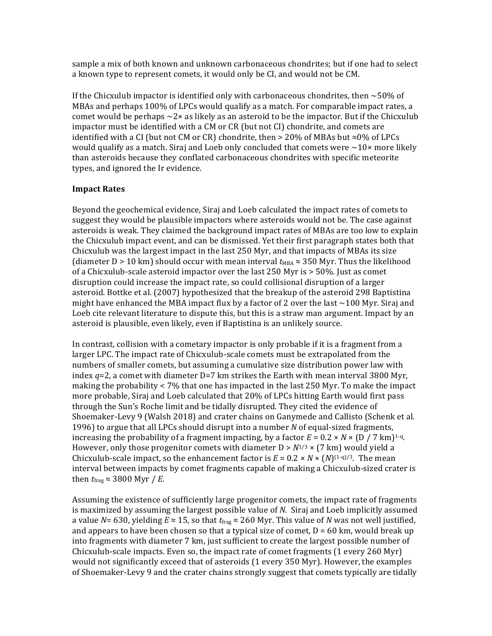sample a mix of both known and unknown carbonaceous chondrites; but if one had to select a known type to represent comets, it would only be CI, and would not be CM.

If the Chicxulub impactor is identified only with carbonaceous chondrites, then  $\sim$  50% of MBAs and perhaps 100% of LPCs would qualify as a match. For comparable impact rates, a comet would be perhaps  $\sim$ 2 $\times$  as likely as an asteroid to be the impactor. But if the Chicxulub impactor must be identified with a CM or CR (but not CI) chondrite, and comets are identified with a CI (but not CM or CR) chondrite, then > 20% of MBAs but ≈0% of LPCs would qualify as a match. Siraj and Loeb only concluded that comets were  $\sim 10 \times$  more likely than asteroids because they conflated carbonaceous chondrites with specific meteorite types, and ignored the Ir evidence.

#### **Impact Rates**

Beyond the geochemical evidence, Siraj and Loeb calculated the impact rates of comets to suggest they would be plausible impactors where asteroids would not be. The case against asteroids is weak. They claimed the background impact rates of MBAs are too low to explain the Chicxulub impact event, and can be dismissed. Yet their first paragraph states both that Chicxulub was the largest impact in the last 250 Myr, and that impacts of MBAs its size (diameter D > 10 km) should occur with mean interval  $t_{MBA} \approx 350$  Myr. Thus the likelihood of a Chicxulub-scale asteroid impactor over the last 250 Myr is > 50%. Just as comet disruption could increase the impact rate, so could collisional disruption of a larger asteroid. Bottke et al. (2007) hypothesized that the breakup of the asteroid 298 Baptistina might have enhanced the MBA impact flux by a factor of 2 over the last  $\sim$ 100 Myr. Siraj and Loeb cite relevant literature to dispute this, but this is a straw man argument. Impact by an asteroid is plausible, even likely, even if Baptistina is an unlikely source.

In contrast, collision with a cometary impactor is only probable if it is a fragment from a larger LPC. The impact rate of Chicxulub-scale comets must be extrapolated from the numbers of smaller comets, but assuming a cumulative size distribution power law with index  $q=2$ , a comet with diameter  $D=7$  km strikes the Earth with mean interval 3800 Myr, making the probability  $\lt 7\%$  that one has impacted in the last 250 Myr. To make the impact more probable, Siraj and Loeb calculated that 20% of LPCs hitting Earth would first pass through the Sun's Roche limit and be tidally disrupted. They cited the evidence of Shoemaker-Levy 9 (Walsh 2018) and crater chains on Ganymede and Callisto (Schenk et al. 1996) to argue that all LPCs should disrupt into a number *N* of equal-sized fragments, increasing the probability of a fragment impacting, by a factor  $E = 0.2 \times N \times (D / 7 \text{ km})^{\frac{1}{q}}$ . However, only those progenitor comets with diameter  $D > N^{1/3} \times (7 \text{ km})$  would yield a Chicxulub-scale impact, so the enhancement factor is  $E = 0.2 \times N \times (N)^{(1-q)/3}$ . The mean interval between impacts by comet fragments capable of making a Chicxulub-sized crater is then  $t_{\text{frag}} \approx 3800$  Myr / *E*.

Assuming the existence of sufficiently large progenitor comets, the impact rate of fragments is maximized by assuming the largest possible value of *N*. Siraj and Loeb implicitly assumed a value *N*= 630, yielding  $E \approx 15$ , so that  $t_{\text{frag}} \approx 260$  Myr. This value of *N* was not well justified, and appears to have been chosen so that a typical size of comet,  $D = 60$  km, would break up into fragments with diameter 7 km, just sufficient to create the largest possible number of Chicxulub-scale impacts. Even so, the impact rate of comet fragments (1 every 260 Myr) would not significantly exceed that of asteroids (1 every 350 Myr). However, the examples of Shoemaker-Levy 9 and the crater chains strongly suggest that comets typically are tidally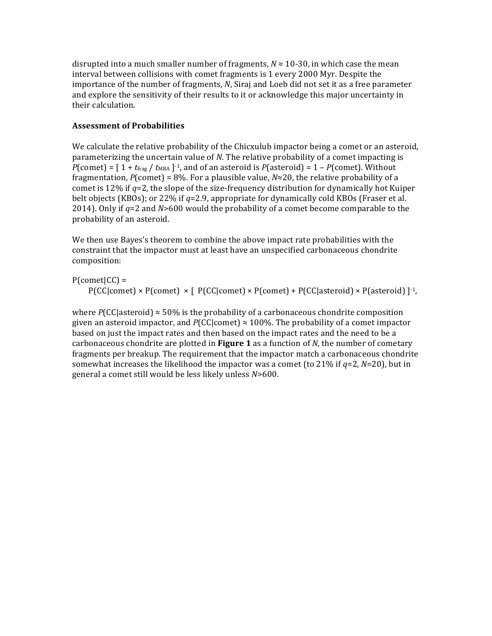disrupted into a much smaller number of fragments,  $N \approx 10$ -30, in which case the mean interval between collisions with comet fragments is 1 every 2000 Myr. Despite the importance of the number of fragments, *N*, Siraj and Loeb did not set it as a free parameter and explore the sensitivity of their results to it or acknowledge this major uncertainty in their calculation.

## **Assessment of Probabilities**

We calculate the relative probability of the Chicxulub impactor being a comet or an asteroid, parameterizing the uncertain value of *N*. The relative probability of a comet impacting is *P*(comet) =  $[1 + t_{frag} / t_{MBA}]^{-1}$ , and of an asteroid is *P*(asteroid) =  $1 - P$ (comet). Without fragmentation,  $P$ (comet) = 8%. For a plausible value,  $N \approx 20$ , the relative probability of a comet is 12% if *q*=2, the slope of the size-frequency distribution for dynamically hot Kuiper belt objects (KBOs); or 22% if *q*=2.9, appropriate for dynamically cold KBOs (Fraser et al. 2014). Only if *q*=2 and *N*>600 would the probability of a comet become comparable to the probability of an asteroid.

We then use Bayes's theorem to combine the above impact rate probabilities with the constraint that the impactor must at least have an unspecified carbonaceous chondrite composition:

 $P$ (comet $|CC|$  =

 $P(CC|comet) \times P(comet) \times [P(C|comet) \times P(comet) + P(CC|asteroid) \times P(asteroid)]^{-1}$ ,

where  $P(CC|a<sub>st</sub> = 50\%$  is the probability of a carbonaceous chondrite composition given an asteroid impactor, and  $P(CC|comet) \approx 100\%$ . The probability of a comet impactor based on just the impact rates and then based on the impact rates and the need to be a carbonaceous chondrite are plotted in **Figure 1** as a function of *N*, the number of cometary fragments per breakup. The requirement that the impactor match a carbonaceous chondrite somewhat increases the likelihood the impactor was a comet (to 21% if *q*=2, *N*=20), but in general a comet still would be less likely unless *N*>600.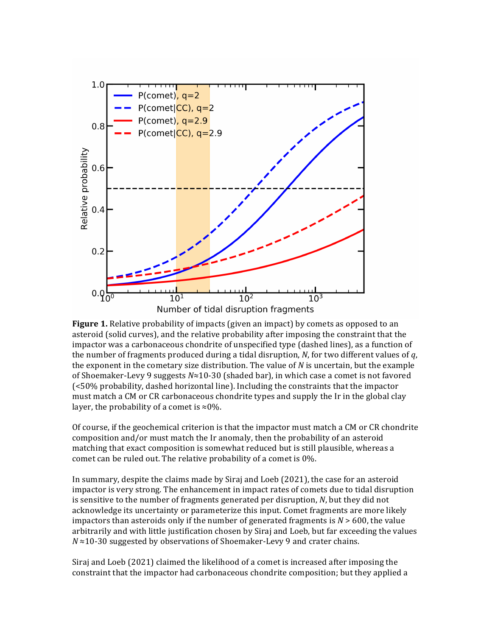

**Figure 1.** Relative probability of impacts (given an impact) by comets as opposed to an asteroid (solid curves), and the relative probability after imposing the constraint that the impactor was a carbonaceous chondrite of unspecified type (dashed lines), as a function of the number of fragments produced during a tidal disruption,  $N$ , for two different values of  $q$ , the exponent in the cometary size distribution. The value of  $N$  is uncertain, but the example of Shoemaker-Levy 9 suggests *N*≈10-30 (shaded bar), in which case a comet is not favored (<50% probability, dashed horizontal line). Including the constraints that the impactor must match a CM or CR carbonaceous chondrite types and supply the Ir in the global clay layer, the probability of a comet is  $\approx 0\%$ .

Of course, if the geochemical criterion is that the impactor must match a CM or CR chondrite composition and/or must match the Ir anomaly, then the probability of an asteroid matching that exact composition is somewhat reduced but is still plausible, whereas a comet can be ruled out. The relative probability of a comet is 0%.

In summary, despite the claims made by Siraj and Loeb (2021), the case for an asteroid impactor is very strong. The enhancement in impact rates of comets due to tidal disruption is sensitive to the number of fragments generated per disruption, *N*, but they did not acknowledge its uncertainty or parameterize this input. Comet fragments are more likely impactors than asteroids only if the number of generated fragments is *N* > 600, the value arbitrarily and with little justification chosen by Siraj and Loeb, but far exceeding the values *N* ≈10-30 suggested by observations of Shoemaker-Levy 9 and crater chains.

Siraj and Loeb (2021) claimed the likelihood of a comet is increased after imposing the constraint that the impactor had carbonaceous chondrite composition; but they applied a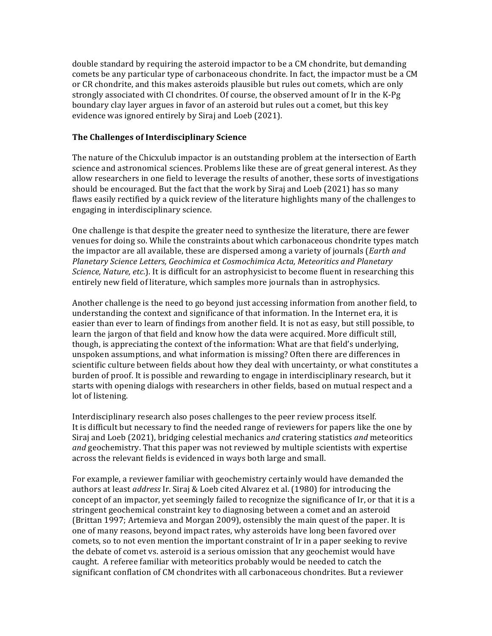double standard by requiring the asteroid impactor to be a CM chondrite, but demanding comets be any particular type of carbonaceous chondrite. In fact, the impactor must be a CM or CR chondrite, and this makes asteroids plausible but rules out comets, which are only strongly associated with CI chondrites. Of course, the observed amount of Ir in the K-Pg boundary clay layer argues in favor of an asteroid but rules out a comet, but this key evidence was ignored entirely by Siraj and Loeb (2021). 

#### **The Challenges of Interdisciplinary Science**

The nature of the Chicxulub impactor is an outstanding problem at the intersection of Earth science and astronomical sciences. Problems like these are of great general interest. As they allow researchers in one field to leverage the results of another, these sorts of investigations should be encouraged. But the fact that the work by Siraj and Loeb (2021) has so many flaws easily rectified by a quick review of the literature highlights many of the challenges to engaging in interdisciplinary science.

One challenge is that despite the greater need to synthesize the literature, there are fewer venues for doing so. While the constraints about which carbonaceous chondrite types match the impactor are all available, these are dispersed among a variety of journals (*Earth and Planetary Science Letters, Geochimica et Cosmochimica Acta, Meteoritics and Planetary Science, Nature, etc*.). It is difficult for an astrophysicist to become fluent in researching this entirely new field of literature, which samples more journals than in astrophysics.

Another challenge is the need to go beyond just accessing information from another field, to understanding the context and significance of that information. In the Internet era, it is easier than ever to learn of findings from another field. It is not as easy, but still possible, to learn the jargon of that field and know how the data were acquired. More difficult still, though, is appreciating the context of the information: What are that field's underlying, unspoken assumptions, and what information is missing? Often there are differences in scientific culture between fields about how they deal with uncertainty, or what constitutes a burden of proof. It is possible and rewarding to engage in interdisciplinary research, but it starts with opening dialogs with researchers in other fields, based on mutual respect and a lot of listening.

Interdisciplinary research also poses challenges to the peer review process itself. It is difficult but necessary to find the needed range of reviewers for papers like the one by Siraj and Loeb (2021), bridging celestial mechanics a*nd* cratering statistics *and* meteoritics *and* geochemistry. That this paper was not reviewed by multiple scientists with expertise across the relevant fields is evidenced in ways both large and small.

For example, a reviewer familiar with geochemistry certainly would have demanded the authors at least *address* Ir. Siraj & Loeb cited Alvarez et al. (1980) for introducing the concept of an impactor, yet seemingly failed to recognize the significance of Ir, or that it is a stringent geochemical constraint key to diagnosing between a comet and an asteroid (Brittan 1997; Artemieva and Morgan 2009), ostensibly the main quest of the paper. It is one of many reasons, beyond impact rates, why asteroids have long been favored over comets, so to not even mention the important constraint of Ir in a paper seeking to revive the debate of comet vs. asteroid is a serious omission that any geochemist would have caught. A referee familiar with meteoritics probably would be needed to catch the significant conflation of CM chondrites with all carbonaceous chondrites. But a reviewer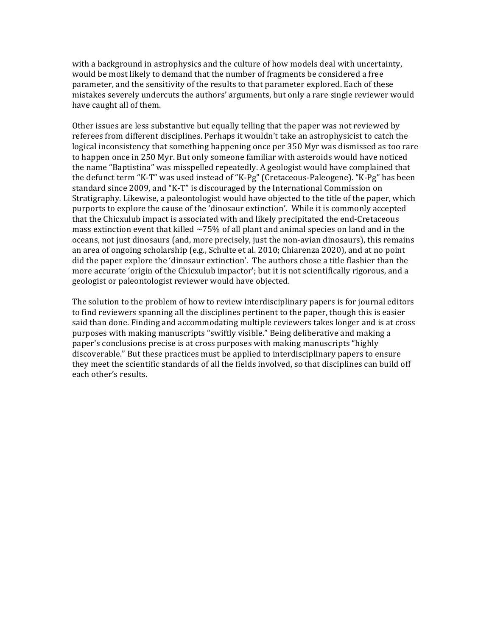with a background in astrophysics and the culture of how models deal with uncertainty, would be most likely to demand that the number of fragments be considered a free parameter, and the sensitivity of the results to that parameter explored. Each of these mistakes severely undercuts the authors' arguments, but only a rare single reviewer would have caught all of them.

Other issues are less substantive but equally telling that the paper was not reviewed by referees from different disciplines. Perhaps it wouldn't take an astrophysicist to catch the logical inconsistency that something happening once per 350 Myr was dismissed as too rare to happen once in 250 Myr. But only someone familiar with asteroids would have noticed the name "Baptistina" was misspelled repeatedly. A geologist would have complained that the defunct term "K-T" was used instead of "K-Pg" (Cretaceous-Paleogene). "K-Pg" has been standard since 2009, and "K-T" is discouraged by the International Commission on Stratigraphy. Likewise, a paleontologist would have objected to the title of the paper, which purports to explore the cause of the 'dinosaur extinction'. While it is commonly accepted that the Chicxulub impact is associated with and likely precipitated the end-Cretaceous mass extinction event that killed  $\sim$  75% of all plant and animal species on land and in the oceans, not just dinosaurs (and, more precisely, just the non-avian dinosaurs), this remains an area of ongoing scholarship (e.g., Schulte et al. 2010; Chiarenza 2020), and at no point did the paper explore the 'dinosaur extinction'. The authors chose a title flashier than the more accurate 'origin of the Chicxulub impactor'; but it is not scientifically rigorous, and a geologist or paleontologist reviewer would have objected.

The solution to the problem of how to review interdisciplinary papers is for journal editors to find reviewers spanning all the disciplines pertinent to the paper, though this is easier said than done. Finding and accommodating multiple reviewers takes longer and is at cross purposes with making manuscripts "swiftly visible." Being deliberative and making a paper's conclusions precise is at cross purposes with making manuscripts "highly discoverable." But these practices must be applied to interdisciplinary papers to ensure they meet the scientific standards of all the fields involved, so that disciplines can build off each other's results.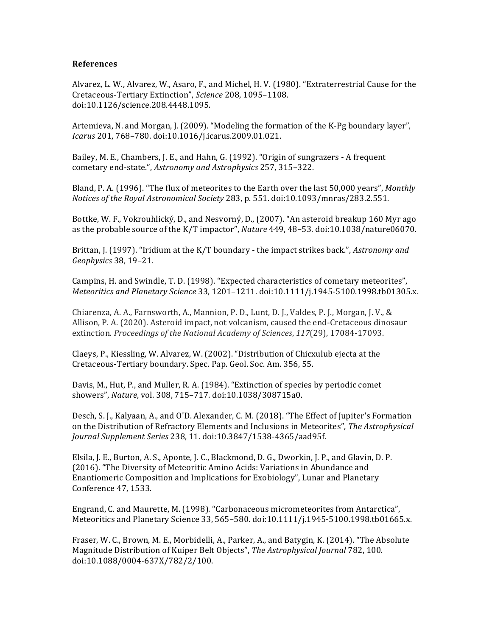#### **References**

Alvarez, L. W., Alvarez, W., Asaro, F., and Michel, H. V. (1980). "Extraterrestrial Cause for the Cretaceous-Tertiary Extinction", *Science* 208, 1095–1108. doi:10.1126/science.208.4448.1095.

Artemieva, N. and Morgan, J. (2009). "Modeling the formation of the K-Pg boundary layer", *Icarus* 201, 768–780. doi:10.1016/j.icarus.2009.01.021.

Bailey, M. E., Chambers, J. E., and Hahn, G. (1992). "Origin of sungrazers - A frequent cometary end-state.", Astronomy and Astrophysics 257, 315-322.

Bland, P. A. (1996). "The flux of meteorites to the Earth over the last 50,000 years", *Monthly Notices of the Royal Astronomical Society* 283, p. 551. doi:10.1093/mnras/283.2.551.

Bottke, W. F., Vokrouhlický, D., and Nesvorný, D., (2007). "An asteroid breakup 160 Myr ago as the probable source of the K/T impactor", *Nature* 449, 48–53. doi:10.1038/nature06070.

Brittan, J. (1997). "Iridium at the K/T boundary - the impact strikes back.", *Astronomy and Geophysics* 38, 19–21.

Campins, H. and Swindle, T. D. (1998). "Expected characteristics of cometary meteorites", *Meteoritics and Planetary Science* 33, 1201–1211. doi:10.1111/j.1945-5100.1998.tb01305.x.

Chiarenza, A. A., Farnsworth, A., Mannion, P. D., Lunt, D. J., Valdes, P. J., Morgan, J. V., & Allison, P. A. (2020). Asteroid impact, not volcanism, caused the end-Cretaceous dinosaur extinction. *Proceedings of the National Academy of Sciences*, 117(29), 17084-17093.

Claeys, P., Kiessling, W. Alvarez, W. (2002). "Distribution of Chicxulub ejecta at the Cretaceous-Tertiary boundary. Spec. Pap. Geol. Soc. Am. 356, 55.

Davis, M., Hut, P., and Muller, R. A. (1984). "Extinction of species by periodic comet showers", *Nature*, vol. 308, 715–717. doi:10.1038/308715a0.

Desch, S. J., Kalyaan, A., and O'D. Alexander, C. M. (2018). "The Effect of Jupiter's Formation on the Distribution of Refractory Elements and Inclusions in Meteorites", *The Astrophysical Journal Supplement Series* 238, 11. doi:10.3847/1538-4365/aad95f.

Elsila, J. E., Burton, A. S., Aponte, J. C., Blackmond, D. G., Dworkin, J. P., and Glavin, D. P. (2016). "The Diversity of Meteoritic Amino Acids: Variations in Abundance and Enantiomeric Composition and Implications for Exobiology", Lunar and Planetary Conference 47, 1533.

Engrand, C. and Maurette, M. (1998). "Carbonaceous micrometeorites from Antarctica", Meteoritics and Planetary Science 33, 565–580. doi:10.1111/j.1945-5100.1998.tb01665.x.

Fraser, W. C., Brown, M. E., Morbidelli, A., Parker, A., and Batygin, K. (2014). "The Absolute Magnitude Distribution of Kuiper Belt Objects", *The Astrophysical Journal* 782, 100. doi:10.1088/0004-637X/782/2/100.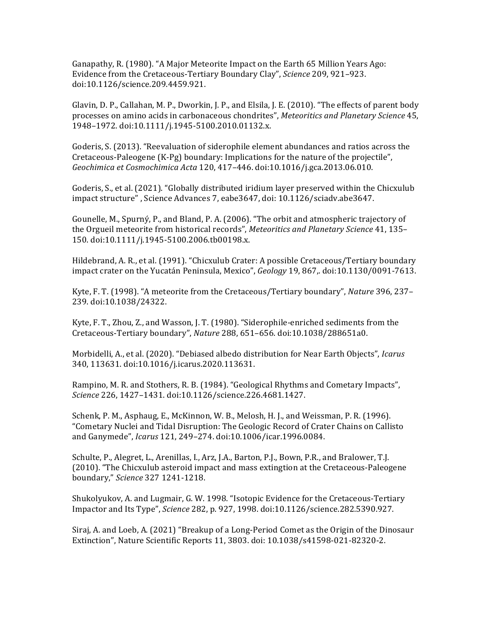Ganapathy, R. (1980). "A Major Meteorite Impact on the Earth 65 Million Years Ago: Evidence from the Cretaceous-Tertiary Boundary Clay", *Science* 209, 921–923. doi:10.1126/science.209.4459.921.

Glavin, D. P., Callahan, M. P., Dworkin, J. P., and Elsila, J. E. (2010). "The effects of parent body processes on amino acids in carbonaceous chondrites", *Meteoritics and Planetary Science* 45, 1948–1972. doi:10.1111/j.1945-5100.2010.01132.x.

Goderis, S. (2013). "Reevaluation of siderophile element abundances and ratios across the Cretaceous-Paleogene (K-Pg) boundary: Implications for the nature of the projectile", *Geochimica et Cosmochimica Acta* 120, 417–446. doi:10.1016/j.gca.2013.06.010.

Goderis, S., et al. (2021). "Globally distributed iridium layer preserved within the Chicxulub impact structure" , Science Advances 7, eabe3647, doi: 10.1126/sciadv.abe3647.

Gounelle, M., Spurný, P., and Bland, P. A. (2006). "The orbit and atmospheric trajectory of the Orgueil meteorite from historical records", *Meteoritics and Planetary Science* 41, 135– 150. doi:10.1111/j.1945-5100.2006.tb00198.x.

Hildebrand, A. R., et al. (1991). "Chicxulub Crater: A possible Cretaceous/Tertiary boundary impact crater on the Yucatán Peninsula, Mexico", *Geology* 19, 867,. doi:10.1130/0091-7613. 

Kyte, F. T. (1998). "A meteorite from the Cretaceous/Tertiary boundary", *Nature* 396, 237– 239. doi:10.1038/24322.

Kyte, F. T., Zhou, Z., and Wasson, J. T. (1980). "Siderophile-enriched sediments from the Cretaceous-Tertiary boundary", *Nature* 288, 651–656. doi:10.1038/288651a0.

Morbidelli, A., et al. (2020). "Debiased albedo distribution for Near Earth Objects", *Icarus* 340, 113631. doi:10.1016/j.icarus.2020.113631.

Rampino, M. R. and Stothers, R. B. (1984). "Geological Rhythms and Cometary Impacts", *Science* 226, 1427–1431. doi:10.1126/science.226.4681.1427.

Schenk, P. M., Asphaug, E., McKinnon, W. B., Melosh, H. J., and Weissman, P. R. (1996). "Cometary Nuclei and Tidal Disruption: The Geologic Record of Crater Chains on Callisto and Ganymede", *Icarus* 121, 249–274. doi:10.1006/icar.1996.0084.

Schulte, P., Alegret, L., Arenillas, I., Arz, J.A., Barton, P.J., Bown, P.R., and Bralower, T.J. (2010). "The Chicxulub asteroid impact and mass extingtion at the Cretaceous-Paleogene boundary," *Science* 327 1241-1218.

Shukolyukov, A. and Lugmair, G. W. 1998. "Isotopic Evidence for the Cretaceous-Tertiary Impactor and Its Type", *Science* 282, p. 927, 1998. doi:10.1126/science.282.5390.927.

Siraj, A. and Loeb, A. (2021) "Breakup of a Long-Period Comet as the Origin of the Dinosaur Extinction", Nature Scientific Reports 11, 3803. doi: 10.1038/s41598-021-82320-2.